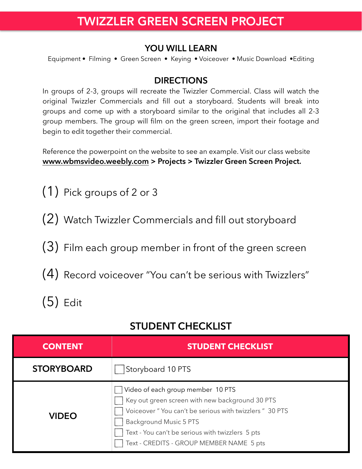## TWIZZLER GREEN SCREEN PROJECT

#### **YOU WILL LEARN**

Equipment • Filming • Green Screen • Keying • Voiceover • Music Download •Editing

#### **DIRECTIONS**

In groups of 2-3, groups will recreate the Twizzler Commercial. Class will watch the original Twizzler Commercials and fill out a storyboard. Students will break into groups and come up with a storyboard similar to the original that includes all 2-3 group members. The group will film on the green screen, import their footage and begin to edit together their commercial.

Reference the powerpoint on the website to see an example. Visit our class website **[www.wbmsvideo.weebly.com](http://www.wbmsvideo.weebly.com) > Projects > Twizzler Green Screen Project.**

- (1) Pick groups of 2 or 3
- (2) Watch Twizzler Commercials and fill out storyboard
- (3) Film each group member in front of the green screen
- (4) Record voiceover "You can't be serious with Twizzlers"
- (5) Edit

### **STUDENT CHECKLIST**

| <b>CONTENT</b>    | <b>STUDENT CHECKLIST</b>                                                                                                                                                                                                                                                 |
|-------------------|--------------------------------------------------------------------------------------------------------------------------------------------------------------------------------------------------------------------------------------------------------------------------|
| <b>STORYBOARD</b> | Storyboard 10 PTS                                                                                                                                                                                                                                                        |
| <b>VIDEO</b>      | Video of each group member 10 PTS<br>Key out green screen with new background 30 PTS<br>Voiceover" You can't be serious with twizzlers" 30 PTS<br>Background Music 5 PTS<br>Text - You can't be serious with twizzlers 5 pts<br>Text - CREDITS - GROUP MEMBER NAME 5 pts |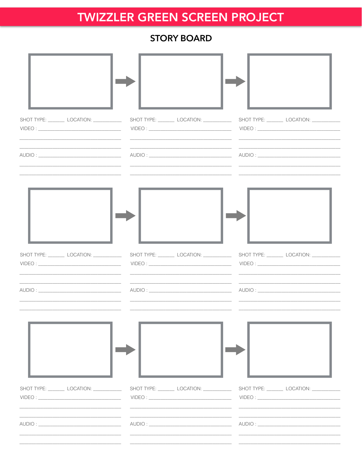## **TWIZZLER GREEN SCREEN PROJECT**

### **STORY BOARD**

| SHOT TYPE: LOCATION: ________                                                                                                                                           | <u> 1989 - Andrea Santa Andrea Andrea Andrea Andrea Andrea Andrea Andrea Andrea Andrea Andrea Andrea Andrea Andr</u> |                              |
|-------------------------------------------------------------------------------------------------------------------------------------------------------------------------|----------------------------------------------------------------------------------------------------------------------|------------------------------|
| the control of the control of the control of the control of the control of the control of<br>the control of the control of the control of the control of the control of |                                                                                                                      |                              |
| SHOT TYPE: ___________ LOCATION: _____________                                                                                                                          |                                                                                                                      |                              |
| the contract of the contract of the contract of the contract of the contract of the contract of                                                                         | the control of the control of the control of the control of the control of the control of                            |                              |
|                                                                                                                                                                         |                                                                                                                      |                              |
| SHOT TYPE: __________ LOCATION: _____________                                                                                                                           | SHOT TYPE: __________ LOCATION: _____________                                                                        | SHOT TYPE: LOCATION: _______ |
|                                                                                                                                                                         |                                                                                                                      |                              |
|                                                                                                                                                                         |                                                                                                                      |                              |